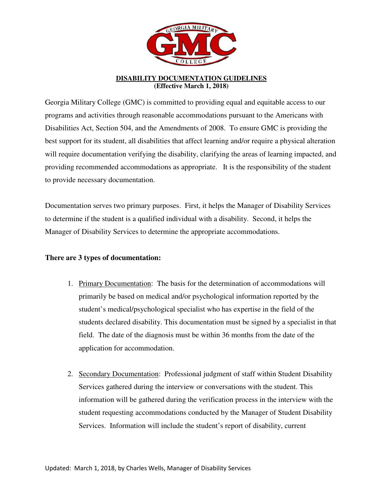

## **DISABILITY DOCUMENTATION GUIDELINES (Effective March 1, 2018)**

Georgia Military College (GMC) is committed to providing equal and equitable access to our programs and activities through reasonable accommodations pursuant to the Americans with Disabilities Act, Section 504, and the Amendments of 2008. To ensure GMC is providing the best support for its student, all disabilities that affect learning and/or require a physical alteration will require documentation verifying the disability, clarifying the areas of learning impacted, and providing recommended accommodations as appropriate. It is the responsibility of the student to provide necessary documentation.

Documentation serves two primary purposes. First, it helps the Manager of Disability Services to determine if the student is a qualified individual with a disability. Second, it helps the Manager of Disability Services to determine the appropriate accommodations.

## **There are 3 types of documentation:**

- 1. Primary Documentation: The basis for the determination of accommodations will primarily be based on medical and/or psychological information reported by the student's medical/psychological specialist who has expertise in the field of the students declared disability. This documentation must be signed by a specialist in that field. The date of the diagnosis must be within 36 months from the date of the application for accommodation.
- 2. Secondary Documentation: Professional judgment of staff within Student Disability Services gathered during the interview or conversations with the student. This information will be gathered during the verification process in the interview with the student requesting accommodations conducted by the Manager of Student Disability Services. Information will include the student's report of disability, current